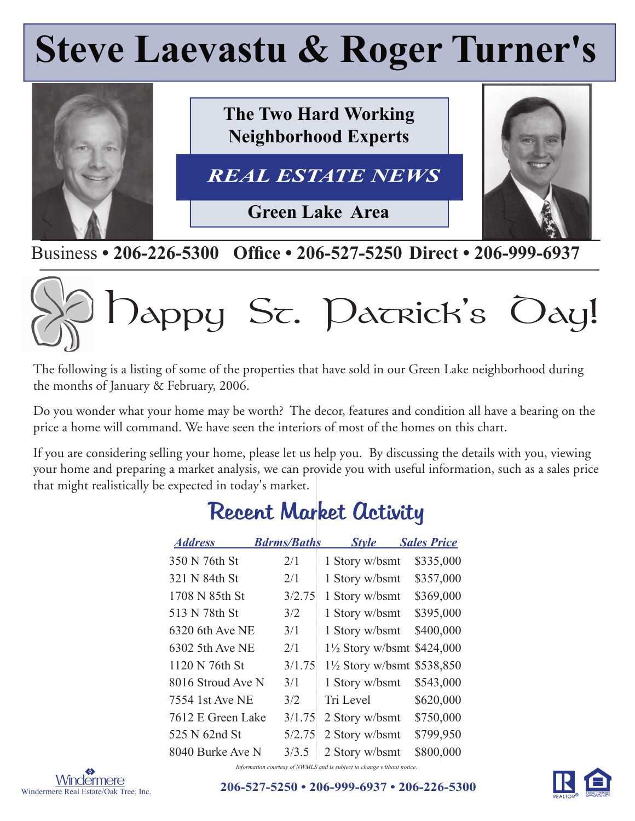## **Steve Laevastu & Roger Turner's**



Business • 206-226-5300 Office • 206-527-5250 Direct • 206-999-6937

# Dappy St. Datrick's Oay!

The following is a listing of some of the properties that have sold in our Green Lake neighborhood during the months of January & February, 2006.

Do you wonder what your home may be worth? The decor, features and condition all have a bearing on the price a home will command. We have seen the interiors of most of the homes on this chart.

If you are considering selling your home, please let us help you. By discussing the details with you, viewing your home and preparing a market analysis, we can provide you with useful information, such as a sales price that might realistically be expected in today's market.

| <b>Address</b>    | <b>Bdrms/Baths</b> | <b>Style</b>                          | <b>Sales Price</b> |
|-------------------|--------------------|---------------------------------------|--------------------|
| 350 N 76th St     | 2/1                | 1 Story w/bsmt                        | \$335,000          |
| 321 N 84th St     | 2/1                | 1 Story w/bsmt                        | \$357,000          |
| 1708 N 85th St    | 3/2.75             | 1 Story w/bsmt                        | \$369,000          |
| 513 N 78th St     | 3/2                | 1 Story w/bsmt                        | \$395,000          |
| 6320 6th Ave NE   | 3/1                | 1 Story w/bsmt                        | \$400,000          |
| 6302 5th Ave NE   | 2/1                | 1½ Story w/bsmt \$424,000             |                    |
| 1120 N 76th St    | 3/1.75             | $1\frac{1}{2}$ Story w/bsmt \$538,850 |                    |
| 8016 Stroud Ave N | 3/1                | 1 Story w/bsmt                        | \$543,000          |
| 7554 1st Ave NE   | 3/2                | Tri Level                             | \$620,000          |
| 7612 E Green Lake | 3/1.75             | 2 Story w/bsmt                        | \$750,000          |
| 525 N 62nd St     | 5/2.75             | 2 Story w/bsmt                        | \$799,950          |
| 8040 Burke Ave N  | 3/3.5              | 2 Story w/bsmt                        | \$800,000          |

## Recent Market Activity

Windermere Real Estate/Oak Tree, Inc.

S **206-527-5250 • 206-999-6937 • 206-226-5300**

*Information courtesy of NWMLS and is subject to change without notice.*